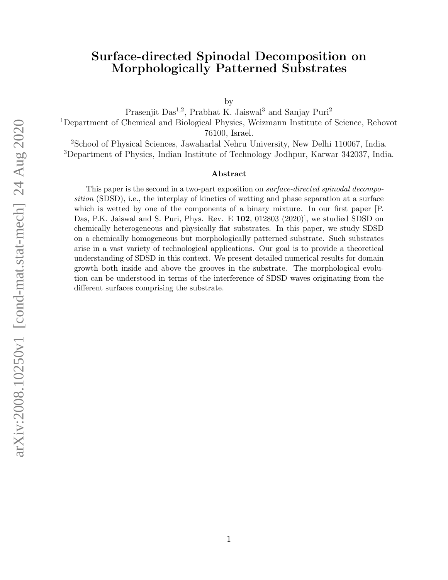# Surface-directed Spinodal Decomposition on Morphologically Patterned Substrates

by

Prasenjit Das<sup>1,2</sup>, Prabhat K. Jaiswal<sup>3</sup> and Sanjay Puri<sup>2</sup> <sup>1</sup>Department of Chemical and Biological Physics, Weizmann Institute of Science, Rehovot 76100, Israel.

<sup>2</sup>School of Physical Sciences, Jawaharlal Nehru University, New Delhi 110067, India. <sup>3</sup>Department of Physics, Indian Institute of Technology Jodhpur, Karwar 342037, India.

#### Abstract

This paper is the second in a two-part exposition on *surface-directed spinodal decompo*sition (SDSD), i.e., the interplay of kinetics of wetting and phase separation at a surface which is wetted by one of the components of a binary mixture. In our first paper [P. Das, P.K. Jaiswal and S. Puri, Phys. Rev. E 102, 012803 (2020)], we studied SDSD on chemically heterogeneous and physically flat substrates. In this paper, we study SDSD on a chemically homogeneous but morphologically patterned substrate. Such substrates arise in a vast variety of technological applications. Our goal is to provide a theoretical understanding of SDSD in this context. We present detailed numerical results for domain growth both inside and above the grooves in the substrate. The morphological evolution can be understood in terms of the interference of SDSD waves originating from the different surfaces comprising the substrate.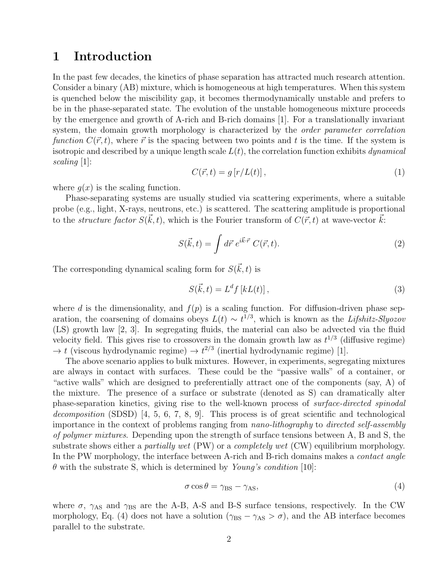#### 1 Introduction

In the past few decades, the kinetics of phase separation has attracted much research attention. Consider a binary (AB) mixture, which is homogeneous at high temperatures. When this system is quenched below the miscibility gap, it becomes thermodynamically unstable and prefers to be in the phase-separated state. The evolution of the unstable homogeneous mixture proceeds by the emergence and growth of A-rich and B-rich domains [1]. For a translationally invariant system, the domain growth morphology is characterized by the *order parameter correlation* function  $C(\vec{r}, t)$ , where  $\vec{r}$  is the spacing between two points and t is the time. If the system is isotropic and described by a unique length scale  $L(t)$ , the correlation function exhibits dynamical scaling [1]:

$$
C(\vec{r},t) = g\left[r/L(t)\right],\tag{1}
$$

where  $g(x)$  is the scaling function.

Phase-separating systems are usually studied via scattering experiments, where a suitable probe (e.g., light, X-rays, neutrons, etc.) is scattered. The scattering amplitude is proportional to the *structure factor*  $S(\vec{k}, t)$ , which is the Fourier transform of  $C(\vec{r}, t)$  at wave-vector  $\vec{k}$ :

$$
S(\vec{k},t) = \int d\vec{r} \; e^{i\vec{k}\cdot\vec{r}} \; C(\vec{r},t). \tag{2}
$$

The corresponding dynamical scaling form for  $S(\vec{k}, t)$  is

$$
S(\vec{k},t) = L^d f\left[kL(t)\right],\tag{3}
$$

where d is the dimensionality, and  $f(p)$  is a scaling function. For diffusion-driven phase separation, the coarsening of domains obeys  $L(t) \sim t^{1/3}$ , which is known as the Lifshitz-Slyozov (LS) growth law [2, 3]. In segregating fluids, the material can also be advected via the fluid velocity field. This gives rise to crossovers in the domain growth law as  $t^{1/3}$  (diffusive regime)  $\rightarrow t$  (viscous hydrodynamic regime)  $\rightarrow t^{2/3}$  (inertial hydrodynamic regime) [1].

The above scenario applies to bulk mixtures. However, in experiments, segregating mixtures are always in contact with surfaces. These could be the "passive walls" of a container, or "active walls" which are designed to preferentially attract one of the components (say, A) of the mixture. The presence of a surface or substrate (denoted as S) can dramatically alter phase-separation kinetics, giving rise to the well-known process of surface-directed spinodal decomposition (SDSD) [4, 5, 6, 7, 8, 9]. This process is of great scientific and technological importance in the context of problems ranging from nano-lithography to directed self-assembly of polymer mixtures. Depending upon the strength of surface tensions between A, B and S, the substrate shows either a *partially wet* (PW) or a *completely wet* (CW) equilibrium morphology. In the PW morphology, the interface between A-rich and B-rich domains makes a *contact angle*  $\theta$  with the substrate S, which is determined by Young's condition [10]:

$$
\sigma \cos \theta = \gamma_{\rm BS} - \gamma_{\rm AS},\tag{4}
$$

where  $\sigma$ ,  $\gamma_{AS}$  and  $\gamma_{BS}$  are the A-B, A-S and B-S surface tensions, respectively. In the CW morphology, Eq. (4) does not have a solution ( $\gamma_{BS} - \gamma_{AS} > \sigma$ ), and the AB interface becomes parallel to the substrate.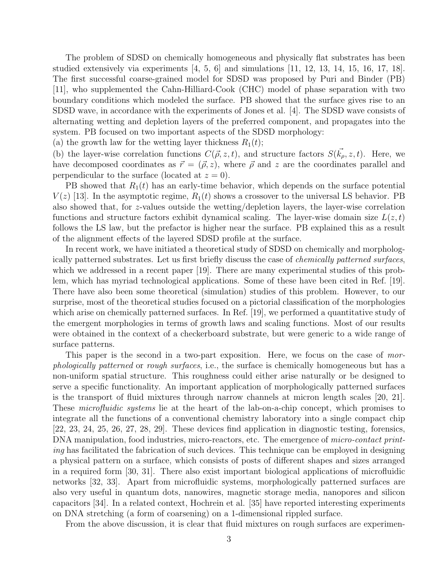The problem of SDSD on chemically homogeneous and physically flat substrates has been studied extensively via experiments [4, 5, 6] and simulations [11, 12, 13, 14, 15, 16, 17, 18]. The first successful coarse-grained model for SDSD was proposed by Puri and Binder (PB) [11], who supplemented the Cahn-Hilliard-Cook (CHC) model of phase separation with two boundary conditions which modeled the surface. PB showed that the surface gives rise to an SDSD wave, in accordance with the experiments of Jones et al. [4]. The SDSD wave consists of alternating wetting and depletion layers of the preferred component, and propagates into the system. PB focused on two important aspects of the SDSD morphology:

(a) the growth law for the wetting layer thickness  $R_1(t)$ ;

(b) the layer-wise correlation functions  $C(\vec{\rho}, z, t)$ , and structure factors  $S(\vec{k_\rho}, z, t)$ . Here, we have decomposed coordinates as  $\vec{r} = (\vec{\rho}, z)$ , where  $\vec{\rho}$  and z are the coordinates parallel and perpendicular to the surface (located at  $z = 0$ ).

PB showed that  $R_1(t)$  has an early-time behavior, which depends on the surface potential  $V(z)$  [13]. In the asymptotic regime,  $R_1(t)$  shows a crossover to the universal LS behavior. PB also showed that, for z-values outside the wetting/depletion layers, the layer-wise correlation functions and structure factors exhibit dynamical scaling. The layer-wise domain size  $L(z, t)$ follows the LS law, but the prefactor is higher near the surface. PB explained this as a result of the alignment effects of the layered SDSD profile at the surface.

In recent work, we have initiated a theoretical study of SDSD on chemically and morphologically patterned substrates. Let us first briefly discuss the case of chemically patterned surfaces, which we addressed in a recent paper [19]. There are many experimental studies of this problem, which has myriad technological applications. Some of these have been cited in Ref. [19]. There have also been some theoretical (simulation) studies of this problem. However, to our surprise, most of the theoretical studies focused on a pictorial classification of the morphologies which arise on chemically patterned surfaces. In Ref. [19], we performed a quantitative study of the emergent morphologies in terms of growth laws and scaling functions. Most of our results were obtained in the context of a checkerboard substrate, but were generic to a wide range of surface patterns.

This paper is the second in a two-part exposition. Here, we focus on the case of morphologically patterned or rough surfaces, i.e., the surface is chemically homogeneous but has a non-uniform spatial structure. This roughness could either arise naturally or be designed to serve a specific functionality. An important application of morphologically patterned surfaces is the transport of fluid mixtures through narrow channels at micron length scales [20, 21]. These *microfluidic systems* lie at the heart of the lab-on-a-chip concept, which promises to integrate all the functions of a conventional chemistry laboratory into a single compact chip  $[22, 23, 24, 25, 26, 27, 28, 29]$ . These devices find application in diagnostic testing, forensics, DNA manipulation, food industries, micro-reactors, etc. The emergence of *micro-contact print*ing has facilitated the fabrication of such devices. This technique can be employed in designing a physical pattern on a surface, which consists of posts of different shapes and sizes arranged in a required form [30, 31]. There also exist important biological applications of microfluidic networks [32, 33]. Apart from microfluidic systems, morphologically patterned surfaces are also very useful in quantum dots, nanowires, magnetic storage media, nanopores and silicon capacitors [34]. In a related context, Hochrein et al. [35] have reported interesting experiments on DNA stretching (a form of coarsening) on a 1-dimensional rippled surface.

From the above discussion, it is clear that fluid mixtures on rough surfaces are experimen-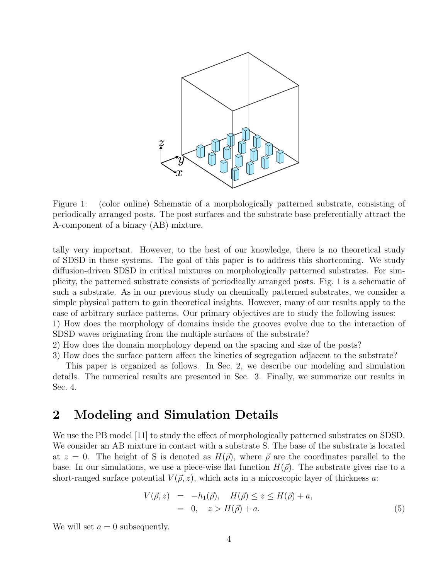

Figure 1: (color online) Schematic of a morphologically patterned substrate, consisting of periodically arranged posts. The post surfaces and the substrate base preferentially attract the A-component of a binary (AB) mixture.

tally very important. However, to the best of our knowledge, there is no theoretical study of SDSD in these systems. The goal of this paper is to address this shortcoming. We study diffusion-driven SDSD in critical mixtures on morphologically patterned substrates. For simplicity, the patterned substrate consists of periodically arranged posts. Fig. 1 is a schematic of such a substrate. As in our previous study on chemically patterned substrates, we consider a simple physical pattern to gain theoretical insights. However, many of our results apply to the case of arbitrary surface patterns. Our primary objectives are to study the following issues:

1) How does the morphology of domains inside the grooves evolve due to the interaction of SDSD waves originating from the multiple surfaces of the substrate?

2) How does the domain morphology depend on the spacing and size of the posts?

3) How does the surface pattern affect the kinetics of segregation adjacent to the substrate?

This paper is organized as follows. In Sec. 2, we describe our modeling and simulation details. The numerical results are presented in Sec. 3. Finally, we summarize our results in Sec. 4.

## 2 Modeling and Simulation Details

We use the PB model [11] to study the effect of morphologically patterned substrates on SDSD. We consider an AB mixture in contact with a substrate S. The base of the substrate is located at  $z = 0$ . The height of S is denoted as  $H(\vec{\rho})$ , where  $\vec{\rho}$  are the coordinates parallel to the base. In our simulations, we use a piece-wise flat function  $H(\vec{\rho})$ . The substrate gives rise to a short-ranged surface potential  $V(\vec{\rho}, z)$ , which acts in a microscopic layer of thickness a:

$$
V(\vec{\rho}, z) = -h_1(\vec{\rho}), \quad H(\vec{\rho}) \le z \le H(\vec{\rho}) + a, = 0, \quad z > H(\vec{\rho}) + a.
$$
 (5)

We will set  $a = 0$  subsequently.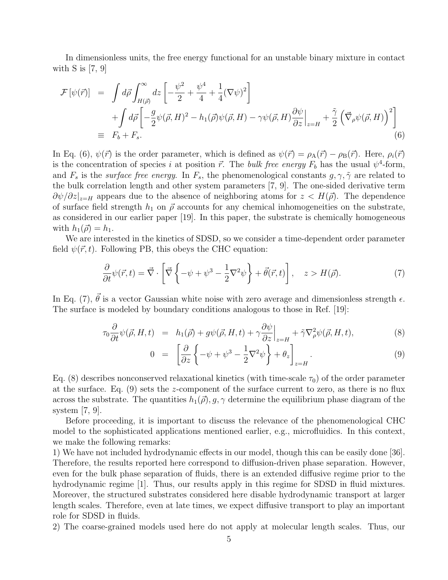In dimensionless units, the free energy functional for an unstable binary mixture in contact with  $S$  is [7, 9]

$$
\mathcal{F}[\psi(\vec{r})] = \int d\vec{\rho} \int_{H(\vec{\rho})}^{\infty} dz \left[ -\frac{\psi^2}{2} + \frac{\psi^4}{4} + \frac{1}{4} (\nabla \psi)^2 \right] \n+ \int d\vec{\rho} \left[ -\frac{g}{2} \psi(\vec{\rho}, H)^2 - h_1(\vec{\rho}) \psi(\vec{\rho}, H) - \gamma \psi(\vec{\rho}, H) \frac{\partial \psi}{\partial z} \Big|_{z=H} + \frac{\tilde{\gamma}}{2} \left( \vec{\nabla}_{\rho} \psi(\vec{\rho}, H) \right)^2 \right] \n\equiv F_b + F_s.
$$
\n(6)

In Eq. (6),  $\psi(\vec{r})$  is the order parameter, which is defined as  $\psi(\vec{r}) = \rho_A(\vec{r}) - \rho_B(\vec{r})$ . Here,  $\rho_i(\vec{r})$ is the concentration of species i at position  $\vec{r}$ . The bulk free energy  $F_b$  has the usual  $\psi^4$ -form, and  $F_s$  is the *surface free energy*. In  $F_s$ , the phenomenological constants  $g, \gamma, \tilde{\gamma}$  are related to the bulk correlation length and other system parameters [7, 9]. The one-sided derivative term  $\partial \psi / \partial z |_{z=H}$  appears due to the absence of neighboring atoms for  $z < H(\vec{\rho})$ . The dependence of surface field strength  $h_1$  on  $\vec{\rho}$  accounts for any chemical inhomogeneities on the substrate, as considered in our earlier paper [19]. In this paper, the substrate is chemically homogeneous with  $h_1(\vec{\rho}) = h_1$ .

We are interested in the kinetics of SDSD, so we consider a time-dependent order parameter field  $\psi(\vec{r}, t)$ . Following PB, this obeys the CHC equation:

$$
\frac{\partial}{\partial t}\psi(\vec{r},t) = \vec{\nabla} \cdot \left[ \vec{\nabla} \left\{ -\psi + \psi^3 - \frac{1}{2}\nabla^2 \psi \right\} + \vec{\theta}(\vec{r},t) \right], \quad z > H(\vec{\rho}). \tag{7}
$$

In Eq. (7),  $\vec{\theta}$  is a vector Gaussian white noise with zero average and dimensionless strength  $\epsilon$ . The surface is modeled by boundary conditions analogous to those in Ref. [19]:

$$
\tau_0 \frac{\partial}{\partial t} \psi(\vec{\rho}, H, t) = h_1(\vec{\rho}) + g\psi(\vec{\rho}, H, t) + \gamma \frac{\partial \psi}{\partial z} \Big|_{z=H} + \tilde{\gamma} \nabla^2_{\rho} \psi(\vec{\rho}, H, t), \tag{8}
$$

$$
0 = \left[ \frac{\partial}{\partial z} \left\{ -\psi + \psi^3 - \frac{1}{2} \nabla^2 \psi \right\} + \theta_z \right]_{z=H} . \tag{9}
$$

Eq. (8) describes nonconserved relaxational kinetics (with time-scale  $\tau_0$ ) of the order parameter at the surface. Eq.  $(9)$  sets the z-component of the surface current to zero, as there is no flux across the substrate. The quantities  $h_1(\vec{\rho}), g, \gamma$  determine the equilibrium phase diagram of the system [7, 9].

Before proceeding, it is important to discuss the relevance of the phenomenological CHC model to the sophisticated applications mentioned earlier, e.g., microfluidics. In this context, we make the following remarks:

1) We have not included hydrodynamic effects in our model, though this can be easily done [36]. Therefore, the results reported here correspond to diffusion-driven phase separation. However, even for the bulk phase separation of fluids, there is an extended diffusive regime prior to the hydrodynamic regime [1]. Thus, our results apply in this regime for SDSD in fluid mixtures. Moreover, the structured substrates considered here disable hydrodynamic transport at larger length scales. Therefore, even at late times, we expect diffusive transport to play an important role for SDSD in fluids.

2) The coarse-grained models used here do not apply at molecular length scales. Thus, our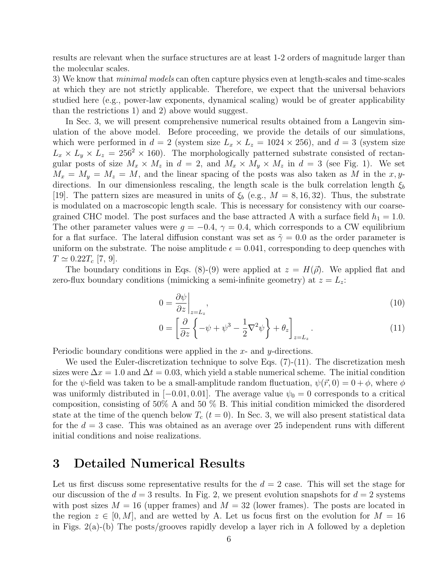results are relevant when the surface structures are at least 1-2 orders of magnitude larger than the molecular scales.

3) We know that *minimal models* can often capture physics even at length-scales and time-scales at which they are not strictly applicable. Therefore, we expect that the universal behaviors studied here (e.g., power-law exponents, dynamical scaling) would be of greater applicability than the restrictions 1) and 2) above would suggest.

In Sec. 3, we will present comprehensive numerical results obtained from a Langevin simulation of the above model. Before proceeding, we provide the details of our simulations, which were performed in  $d = 2$  (system size  $L_x \times L_z = 1024 \times 256$ ), and  $d = 3$  (system size  $L_x \times L_y \times L_z = 256^2 \times 160$ . The morphologically patterned substrate consisted of rectangular posts of size  $M_x \times M_z$  in  $d = 2$ , and  $M_x \times M_y \times M_z$  in  $d = 3$  (see Fig. 1). We set  $M_x = M_y = M_z = M$ , and the linear spacing of the posts was also taken as M in the x, ydirections. In our dimensionless rescaling, the length scale is the bulk correlation length  $\xi_b$ [19]. The pattern sizes are measured in units of  $\xi_b$  (e.g.,  $M = 8, 16, 32$ ). Thus, the substrate is modulated on a macroscopic length scale. This is necessary for consistency with our coarsegrained CHC model. The post surfaces and the base attracted A with a surface field  $h_1 = 1.0$ . The other parameter values were  $g = -0.4$ ,  $\gamma = 0.4$ , which corresponds to a CW equilibrium for a flat surface. The lateral diffusion constant was set as  $\tilde{\gamma} = 0.0$  as the order parameter is uniform on the substrate. The noise amplitude  $\epsilon = 0.041$ , corresponding to deep quenches with  $T \simeq 0.22 T_c$  [7, 9].

The boundary conditions in Eqs. (8)-(9) were applied at  $z = H(\vec{\rho})$ . We applied flat and zero-flux boundary conditions (mimicking a semi-infinite geometry) at  $z = L_z$ .

$$
0 = \frac{\partial \psi}{\partial z}\Big|_{z=L_z},\tag{10}
$$

$$
0 = \left[\frac{\partial}{\partial z}\left\{-\psi + \psi^3 - \frac{1}{2}\nabla^2\psi\right\} + \theta_z\right]_{z=L_z}.\tag{11}
$$

Periodic boundary conditions were applied in the x- and y-directions.

We used the Euler-discretization technique to solve Eqs.  $(7)-(11)$ . The discretization mesh sizes were  $\Delta x = 1.0$  and  $\Delta t = 0.03$ , which yield a stable numerical scheme. The initial condition for the  $\psi$ -field was taken to be a small-amplitude random fluctuation,  $\psi(\vec{r},0) = 0 + \phi$ , where  $\phi$ was uniformly distributed in [−0.01, 0.01]. The average value  $\psi_0 = 0$  corresponds to a critical composition, consisting of 50% A and 50 % B. This initial condition mimicked the disordered state at the time of the quench below  $T_c$  ( $t = 0$ ). In Sec. 3, we will also present statistical data for the  $d = 3$  case. This was obtained as an average over 25 independent runs with different initial conditions and noise realizations.

## 3 Detailed Numerical Results

Let us first discuss some representative results for the  $d = 2$  case. This will set the stage for our discussion of the  $d = 3$  results. In Fig. 2, we present evolution snapshots for  $d = 2$  systems with post sizes  $M = 16$  (upper frames) and  $M = 32$  (lower frames). The posts are located in the region  $z \in [0, M]$ , and are wetted by A. Let us focus first on the evolution for  $M = 16$ in Figs.  $2(a)$ -(b) The posts/grooves rapidly develop a layer rich in A followed by a depletion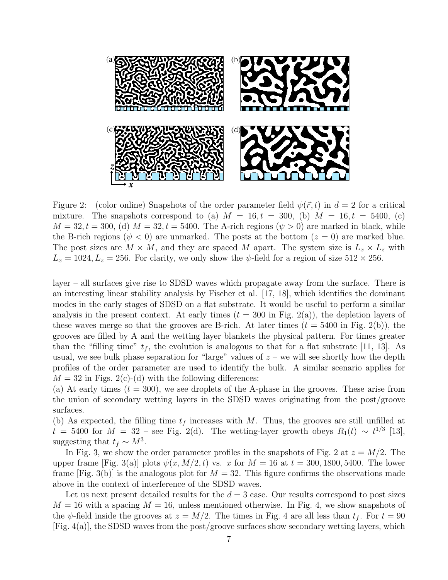

Figure 2: (color online) Snapshots of the order parameter field  $\psi(\vec{r},t)$  in  $d=2$  for a critical mixture. The snapshots correspond to (a)  $M = 16, t = 300,$  (b)  $M = 16, t = 5400,$  (c)  $M = 32, t = 300,$  (d)  $M = 32, t = 5400$ . The A-rich regions  $(\psi > 0)$  are marked in black, while the B-rich regions ( $\psi$  < 0) are unmarked. The posts at the bottom ( $z = 0$ ) are marked blue. The post sizes are  $M \times M$ , and they are spaced M apart. The system size is  $L_x \times L_z$  with  $L_x = 1024, L_z = 256$ . For clarity, we only show the  $\psi$ -field for a region of size  $512 \times 256$ .

layer – all surfaces give rise to SDSD waves which propagate away from the surface. There is an interesting linear stability analysis by Fischer et al. [17, 18], which identifies the dominant modes in the early stages of SDSD on a flat substrate. It would be useful to perform a similar analysis in the present context. At early times  $(t = 300 \text{ in Fig. } 2(a))$ , the depletion layers of these waves merge so that the grooves are B-rich. At later times  $(t = 5400$  in Fig. 2(b)), the grooves are filled by A and the wetting layer blankets the physical pattern. For times greater than the "filling time"  $t_f$ , the evolution is analogous to that for a flat substrate [11, 13]. As usual, we see bulk phase separation for "large" values of  $z$  – we will see shortly how the depth profiles of the order parameter are used to identify the bulk. A similar scenario applies for  $M = 32$  in Figs. 2(c)-(d) with the following differences:

(a) At early times  $(t = 300)$ , we see droplets of the A-phase in the grooves. These arise from the union of secondary wetting layers in the SDSD waves originating from the post/groove surfaces.

(b) As expected, the filling time  $t_f$  increases with M. Thus, the grooves are still unfilled at  $t = 5400$  for  $M = 32$  – see Fig. 2(d). The wetting-layer growth obeys  $R_1(t) \sim t^{1/3}$  [13], suggesting that  $t_f \sim M^3$ .

In Fig. 3, we show the order parameter profiles in the snapshots of Fig. 2 at  $z = M/2$ . The upper frame [Fig. 3(a)] plots  $\psi(x, M/2, t)$  vs. x for  $M = 16$  at  $t = 300, 1800, 5400$ . The lower frame [Fig. 3(b)] is the analogous plot for  $M = 32$ . This figure confirms the observations made above in the context of interference of the SDSD waves.

Let us next present detailed results for the  $d = 3$  case. Our results correspond to post sizes  $M = 16$  with a spacing  $M = 16$ , unless mentioned otherwise. In Fig. 4, we show snapshots of the  $\psi$ -field inside the grooves at  $z = M/2$ . The times in Fig. 4 are all less than  $t_f$ . For  $t = 90$  $[Fig. 4(a)]$ , the SDSD waves from the post/groove surfaces show secondary wetting layers, which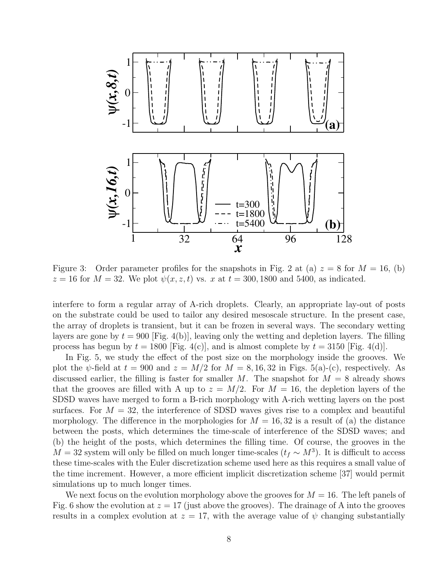

Figure 3: Order parameter profiles for the snapshots in Fig. 2 at (a)  $z = 8$  for  $M = 16$ , (b)  $z = 16$  for  $M = 32$ . We plot  $\psi(x, z, t)$  vs. x at  $t = 300, 1800$  and 5400, as indicated.

interfere to form a regular array of A-rich droplets. Clearly, an appropriate lay-out of posts on the substrate could be used to tailor any desired mesoscale structure. In the present case, the array of droplets is transient, but it can be frozen in several ways. The secondary wetting layers are gone by  $t = 900$  [Fig. 4(b)], leaving only the wetting and depletion layers. The filling process has begun by  $t = 1800$  [Fig. 4(c)], and is almost complete by  $t = 3150$  [Fig. 4(d)].

In Fig. 5, we study the effect of the post size on the morphology inside the grooves. We plot the  $\psi$ -field at  $t = 900$  and  $z = M/2$  for  $M = 8, 16, 32$  in Figs. 5(a)-(c), respectively. As discussed earlier, the filling is faster for smaller M. The snapshot for  $M = 8$  already shows that the grooves are filled with A up to  $z = M/2$ . For  $M = 16$ , the depletion layers of the SDSD waves have merged to form a B-rich morphology with A-rich wetting layers on the post surfaces. For  $M = 32$ , the interference of SDSD waves gives rise to a complex and beautiful morphology. The difference in the morphologies for  $M = 16, 32$  is a result of (a) the distance between the posts, which determines the time-scale of interference of the SDSD waves; and (b) the height of the posts, which determines the filling time. Of course, the grooves in the  $M = 32$  system will only be filled on much longer time-scales  $(t_f \sim M^3)$ . It is difficult to access these time-scales with the Euler discretization scheme used here as this requires a small value of the time increment. However, a more efficient implicit discretization scheme [37] would permit simulations up to much longer times.

We next focus on the evolution morphology above the grooves for  $M = 16$ . The left panels of Fig. 6 show the evolution at  $z = 17$  (just above the grooves). The drainage of A into the grooves results in a complex evolution at  $z = 17$ , with the average value of  $\psi$  changing substantially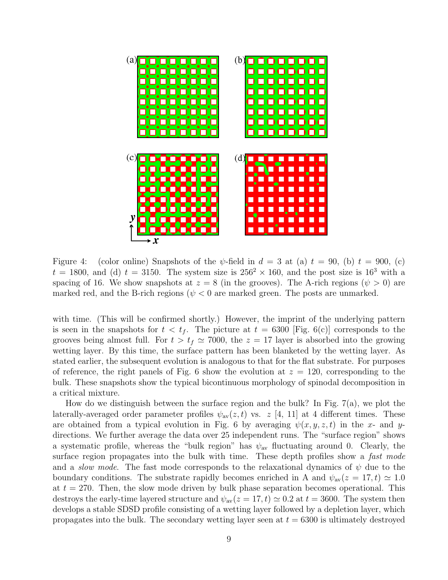

Figure 4: (color online) Snapshots of the  $\psi$ -field in  $d = 3$  at (a)  $t = 90$ , (b)  $t = 900$ , (c)  $t = 1800$ , and (d)  $t = 3150$ . The system size is  $256<sup>2</sup> \times 160$ , and the post size is  $16<sup>3</sup>$  with a spacing of 16. We show snapshots at  $z = 8$  (in the grooves). The A-rich regions  $(\psi > 0)$  are marked red, and the B-rich regions ( $\psi$  < 0 are marked green. The posts are unmarked.

with time. (This will be confirmed shortly.) However, the imprint of the underlying pattern is seen in the snapshots for  $t < t_f$ . The picture at  $t = 6300$  [Fig. 6(c)] corresponds to the grooves being almost full. For  $t > t_f \approx 7000$ , the  $z = 17$  layer is absorbed into the growing wetting layer. By this time, the surface pattern has been blanketed by the wetting layer. As stated earlier, the subsequent evolution is analogous to that for the flat substrate. For purposes of reference, the right panels of Fig. 6 show the evolution at  $z = 120$ , corresponding to the bulk. These snapshots show the typical bicontinuous morphology of spinodal decomposition in a critical mixture.

How do we distinguish between the surface region and the bulk? In Fig.  $7(a)$ , we plot the laterally-averaged order parameter profiles  $\psi_{av}(z, t)$  vs. z [4, 11] at 4 different times. These are obtained from a typical evolution in Fig. 6 by averaging  $\psi(x, y, z, t)$  in the x- and ydirections. We further average the data over 25 independent runs. The "surface region" shows a systematic profile, whereas the "bulk region" has  $\psi_{av}$  fluctuating around 0. Clearly, the surface region propagates into the bulk with time. These depth profiles show a fast mode and a *slow mode*. The fast mode corresponds to the relaxational dynamics of  $\psi$  due to the boundary conditions. The substrate rapidly becomes enriched in A and  $\psi_{av}(z = 17, t) \simeq 1.0$ at  $t = 270$ . Then, the slow mode driven by bulk phase separation becomes operational. This destroys the early-time layered structure and  $\psi_{av}(z = 17, t) \simeq 0.2$  at  $t = 3600$ . The system then develops a stable SDSD profile consisting of a wetting layer followed by a depletion layer, which propagates into the bulk. The secondary wetting layer seen at  $t = 6300$  is ultimately destroyed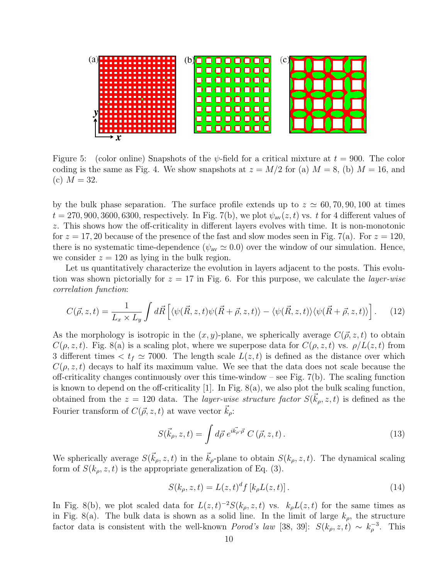

Figure 5: (color online) Snapshots of the  $\psi$ -field for a critical mixture at  $t = 900$ . The color coding is the same as Fig. 4. We show snapshots at  $z = M/2$  for (a)  $M = 8$ , (b)  $M = 16$ , and (c)  $M = 32$ .

by the bulk phase separation. The surface profile extends up to  $z \approx 60, 70, 90, 100$  at times  $t = 270, 900, 3600, 6300$ , respectively. In Fig. 7(b), we plot  $\psi_{av}(z, t)$  vs. t for 4 different values of z. This shows how the off-criticality in different layers evolves with time. It is non-monotonic for  $z = 17, 20$  because of the presence of the fast and slow modes seen in Fig. 7(a). For  $z = 120$ , there is no systematic time-dependence ( $\psi_{av} \simeq 0.0$ ) over the window of our simulation. Hence, we consider  $z = 120$  as lying in the bulk region.

Let us quantitatively characterize the evolution in layers adjacent to the posts. This evolution was shown pictorially for  $z = 17$  in Fig. 6. For this purpose, we calculate the *layer-wise* correlation function:

$$
C(\vec{\rho}, z, t) = \frac{1}{L_x \times L_y} \int d\vec{R} \left[ \langle \psi(\vec{R}, z, t) \psi(\vec{R} + \vec{\rho}, z, t) \rangle - \langle \psi(\vec{R}, z, t) \rangle \langle \psi(\vec{R} + \vec{\rho}, z, t) \rangle \right]. \tag{12}
$$

As the morphology is isotropic in the  $(x, y)$ -plane, we spherically average  $C(\vec{\rho}, z, t)$  to obtain  $C(\rho, z, t)$ . Fig. 8(a) is a scaling plot, where we superpose data for  $C(\rho, z, t)$  vs.  $\rho/L(z, t)$  from 3 different times  $\lt t_f \simeq 7000$ . The length scale  $L(z, t)$  is defined as the distance over which  $C(\rho, z, t)$  decays to half its maximum value. We see that the data does not scale because the off-criticality changes continuously over this time-window – see Fig.  $7(b)$ . The scaling function is known to depend on the off-criticality [1]. In Fig. 8(a), we also plot the bulk scaling function, obtained from the  $z = 120$  data. The *layer-wise structure factor*  $S(\vec{k}_\rho, z, t)$  is defined as the Fourier transform of  $C(\vec{\rho}, z, t)$  at wave vector  $\vec{k}_o$ :

$$
S(\vec{k}_{\rho}, z, t) = \int d\vec{\rho} e^{i\vec{k_{\rho}} \cdot \vec{\rho}} C(\vec{\rho}, z, t).
$$
 (13)

We spherically average  $S(\vec{k}_\rho, z, t)$  in the  $\vec{k}_\rho$ -plane to obtain  $S(k_\rho, z, t)$ . The dynamical scaling form of  $S(k_\rho, z, t)$  is the appropriate generalization of Eq. (3).

$$
S(k_{\rho}, z, t) = L(z, t)^{d} f [k_{\rho} L(z, t)].
$$
\n(14)

In Fig. 8(b), we plot scaled data for  $L(z,t)^{-2}S(k_{\rho}, z, t)$  vs.  $k_{\rho}L(z,t)$  for the same times as in Fig. 8(a). The bulk data is shown as a solid line. In the limit of large  $k_{\rho}$ , the structure factor data is consistent with the well-known *Porod's law* [38, 39]:  $S(k_{\rho}, z, t) \sim k_{\rho}^{-3}$ . This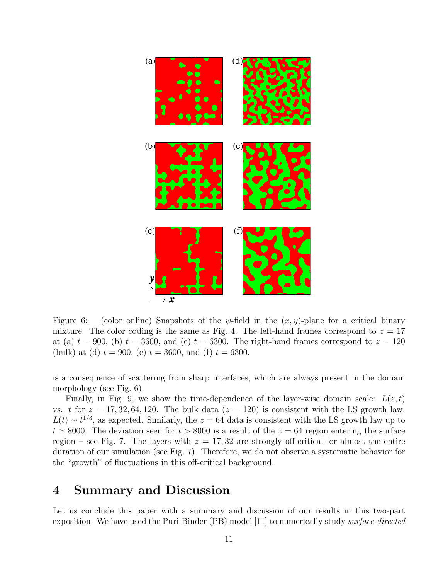

Figure 6: (color online) Snapshots of the  $\psi$ -field in the  $(x, y)$ -plane for a critical binary mixture. The color coding is the same as Fig. 4. The left-hand frames correspond to  $z = 17$ at (a)  $t = 900$ , (b)  $t = 3600$ , and (c)  $t = 6300$ . The right-hand frames correspond to  $z = 120$ (bulk) at (d)  $t = 900$ , (e)  $t = 3600$ , and (f)  $t = 6300$ .

is a consequence of scattering from sharp interfaces, which are always present in the domain morphology (see Fig. 6).

Finally, in Fig. 9, we show the time-dependence of the layer-wise domain scale:  $L(z, t)$ vs. t for  $z = 17, 32, 64, 120$ . The bulk data  $(z = 120)$  is consistent with the LS growth law,  $L(t) \sim t^{1/3}$ , as expected. Similarly, the  $z = 64$  data is consistent with the LS growth law up to  $t \approx 8000$ . The deviation seen for  $t > 8000$  is a result of the  $z = 64$  region entering the surface region – see Fig. 7. The layers with  $z = 17,32$  are strongly off-critical for almost the entire duration of our simulation (see Fig. 7). Therefore, we do not observe a systematic behavior for the "growth" of fluctuations in this off-critical background.

### 4 Summary and Discussion

Let us conclude this paper with a summary and discussion of our results in this two-part exposition. We have used the Puri-Binder (PB) model [11] to numerically study surface-directed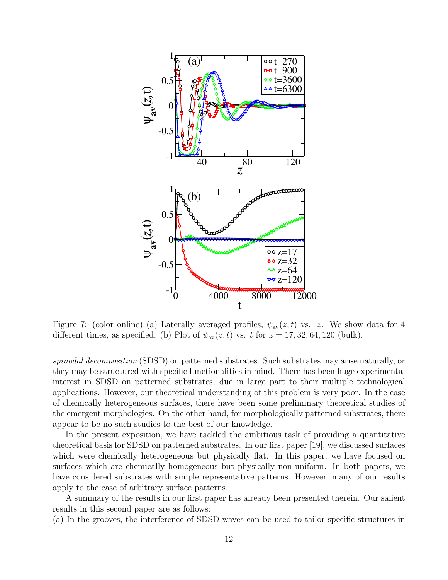

Figure 7: (color online) (a) Laterally averaged profiles,  $\psi_{av}(z, t)$  vs. z. We show data for 4 different times, as specified. (b) Plot of  $\psi_{av}(z, t)$  vs. t for  $z = 17, 32, 64, 120$  (bulk).

spinodal decomposition (SDSD) on patterned substrates. Such substrates may arise naturally, or they may be structured with specific functionalities in mind. There has been huge experimental interest in SDSD on patterned substrates, due in large part to their multiple technological applications. However, our theoretical understanding of this problem is very poor. In the case of chemically heterogeneous surfaces, there have been some preliminary theoretical studies of the emergent morphologies. On the other hand, for morphologically patterned substrates, there appear to be no such studies to the best of our knowledge.

In the present exposition, we have tackled the ambitious task of providing a quantitative theoretical basis for SDSD on patterned substrates. In our first paper [19], we discussed surfaces which were chemically heterogeneous but physically flat. In this paper, we have focused on surfaces which are chemically homogeneous but physically non-uniform. In both papers, we have considered substrates with simple representative patterns. However, many of our results apply to the case of arbitrary surface patterns.

A summary of the results in our first paper has already been presented therein. Our salient results in this second paper are as follows:

(a) In the grooves, the interference of SDSD waves can be used to tailor specific structures in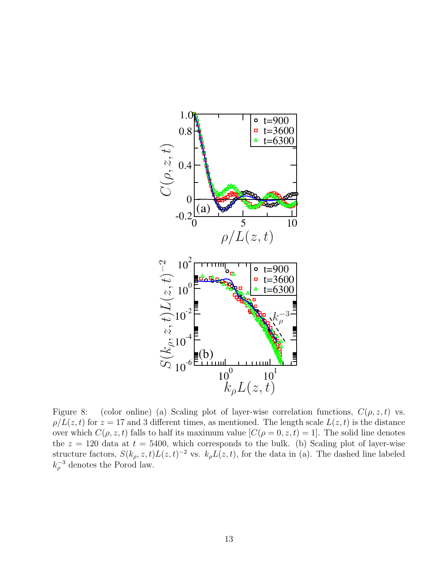

Figure 8: (color online) (a) Scaling plot of layer-wise correlation functions,  $C(\rho, z, t)$  vs.  $\rho/L(z,t)$  for  $z = 17$  and 3 different times, as mentioned. The length scale  $L(z,t)$  is the distance over which  $C(\rho, z, t)$  falls to half its maximum value  $[C(\rho = 0, z, t) = 1]$ . The solid line denotes the  $z = 120$  data at  $t = 5400$ , which corresponds to the bulk. (b) Scaling plot of layer-wise structure factors,  $S(k_\rho, z, t)L(z, t)^{-2}$  vs.  $k_\rho L(z, t)$ , for the data in (a). The dashed line labeled  $k_{\rho}^{-3}$  denotes the Porod law.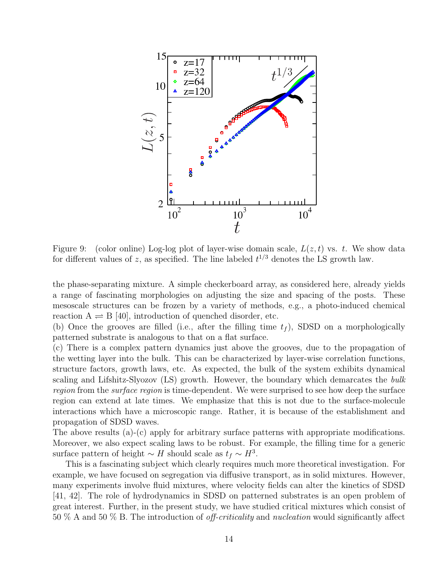

Figure 9: (color online) Log-log plot of layer-wise domain scale,  $L(z, t)$  vs. t. We show data for different values of z, as specified. The line labeled  $t^{1/3}$  denotes the LS growth law.

the phase-separating mixture. A simple checkerboard array, as considered here, already yields a range of fascinating morphologies on adjusting the size and spacing of the posts. These mesoscale structures can be frozen by a variety of methods, e.g., a photo-induced chemical reaction  $A \rightleftharpoons B$  [40], introduction of quenched disorder, etc.

(b) Once the grooves are filled (i.e., after the filling time  $t_f$ ), SDSD on a morphologically patterned substrate is analogous to that on a flat surface.

(c) There is a complex pattern dynamics just above the grooves, due to the propagation of the wetting layer into the bulk. This can be characterized by layer-wise correlation functions, structure factors, growth laws, etc. As expected, the bulk of the system exhibits dynamical scaling and Lifshitz-Slyozov (LS) growth. However, the boundary which demarcates the bulk region from the *surface region* is time-dependent. We were surprised to see how deep the surface region can extend at late times. We emphasize that this is not due to the surface-molecule interactions which have a microscopic range. Rather, it is because of the establishment and propagation of SDSD waves.

The above results (a)-(c) apply for arbitrary surface patterns with appropriate modifications. Moreover, we also expect scaling laws to be robust. For example, the filling time for a generic surface pattern of height  $\sim H$  should scale as  $t_f \sim H^3$ .

This is a fascinating subject which clearly requires much more theoretical investigation. For example, we have focused on segregation via diffusive transport, as in solid mixtures. However, many experiments involve fluid mixtures, where velocity fields can alter the kinetics of SDSD [41, 42]. The role of hydrodynamics in SDSD on patterned substrates is an open problem of great interest. Further, in the present study, we have studied critical mixtures which consist of 50 % A and 50 % B. The introduction of off-criticality and nucleation would significantly affect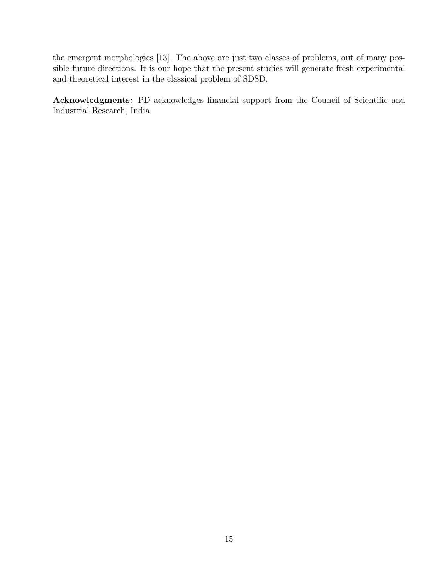the emergent morphologies [13]. The above are just two classes of problems, out of many possible future directions. It is our hope that the present studies will generate fresh experimental and theoretical interest in the classical problem of SDSD.

Acknowledgments: PD acknowledges financial support from the Council of Scientific and Industrial Research, India.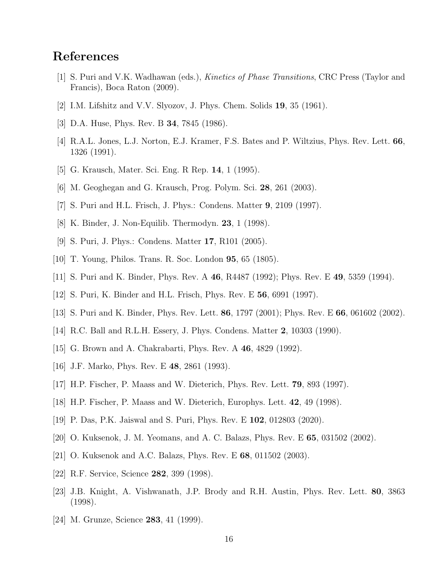# References

- [1] S. Puri and V.K. Wadhawan (eds.), Kinetics of Phase Transitions, CRC Press (Taylor and Francis), Boca Raton (2009).
- [2] I.M. Lifshitz and V.V. Slyozov, J. Phys. Chem. Solids 19, 35 (1961).
- [3] D.A. Huse, Phys. Rev. B 34, 7845 (1986).
- [4] R.A.L. Jones, L.J. Norton, E.J. Kramer, F.S. Bates and P. Wiltzius, Phys. Rev. Lett. 66, 1326 (1991).
- [5] G. Krausch, Mater. Sci. Eng. R Rep. 14, 1 (1995).
- [6] M. Geoghegan and G. Krausch, Prog. Polym. Sci. 28, 261 (2003).
- [7] S. Puri and H.L. Frisch, J. Phys.: Condens. Matter 9, 2109 (1997).
- [8] K. Binder, J. Non-Equilib. Thermodyn. 23, 1 (1998).
- [9] S. Puri, J. Phys.: Condens. Matter 17, R101 (2005).
- [10] T. Young, Philos. Trans. R. Soc. London 95, 65 (1805).
- [11] S. Puri and K. Binder, Phys. Rev. A 46, R4487 (1992); Phys. Rev. E 49, 5359 (1994).
- [12] S. Puri, K. Binder and H.L. Frisch, Phys. Rev. E 56, 6991 (1997).
- [13] S. Puri and K. Binder, Phys. Rev. Lett. 86, 1797 (2001); Phys. Rev. E 66, 061602 (2002).
- [14] R.C. Ball and R.L.H. Essery, J. Phys. Condens. Matter 2, 10303 (1990).
- [15] G. Brown and A. Chakrabarti, Phys. Rev. A 46, 4829 (1992).
- [16] J.F. Marko, Phys. Rev. E 48, 2861 (1993).
- [17] H.P. Fischer, P. Maass and W. Dieterich, Phys. Rev. Lett. 79, 893 (1997).
- [18] H.P. Fischer, P. Maass and W. Dieterich, Europhys. Lett. 42, 49 (1998).
- [19] P. Das, P.K. Jaiswal and S. Puri, Phys. Rev. E 102, 012803 (2020).
- [20] O. Kuksenok, J. M. Yeomans, and A. C. Balazs, Phys. Rev. E 65, 031502 (2002).
- [21] O. Kuksenok and A.C. Balazs, Phys. Rev. E 68, 011502 (2003).
- [22] R.F. Service, Science 282, 399 (1998).
- [23] J.B. Knight, A. Vishwanath, J.P. Brody and R.H. Austin, Phys. Rev. Lett. 80, 3863 (1998).
- [24] M. Grunze, Science **283**, 41 (1999).